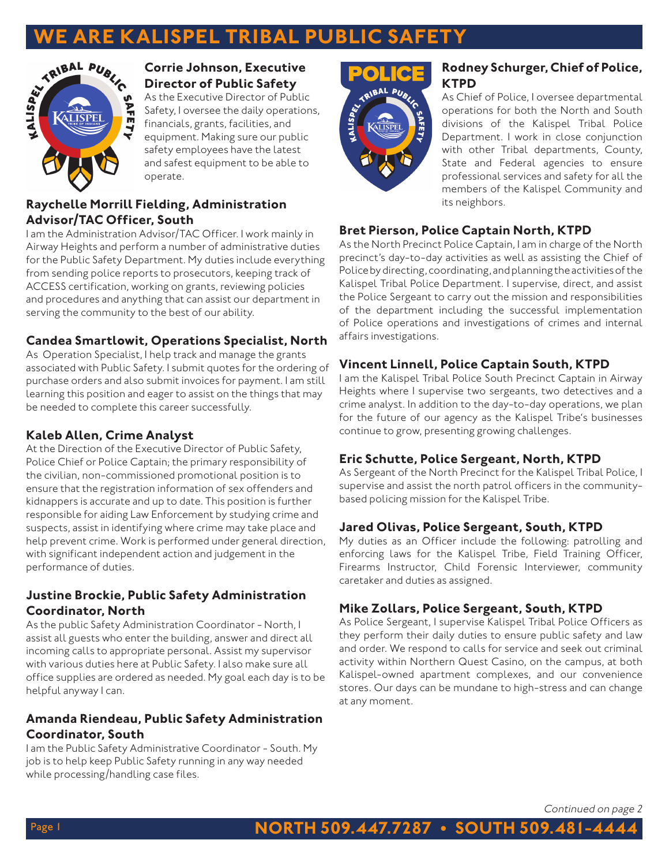# **RE KALISPEL TRIBAL PU**



#### **Corrie Johnson, Executive Director of Public Safety**

As the Executive Director of Public Safety, I oversee the daily operations, financials, grants, facilities, and equipment. Making sure our public safety employees have the latest and safest equipment to be able to operate.

# **Raychelle Morrill Fielding, Administration Advisor/TAC Officer, South**

I am the Administration Advisor/TAC Officer. I work mainly in Airway Heights and perform a number of administrative duties for the Public Safety Department. My duties include everything from sending police reports to prosecutors, keeping track of ACCESS certification, working on grants, reviewing policies and procedures and anything that can assist our department in serving the community to the best of our ability.

## **Candea Smartlowit, Operations Specialist, North**

As Operation Specialist, I help track and manage the grants associated with Public Safety. I submit quotes for the ordering of purchase orders and also submit invoices for payment. I am still learning this position and eager to assist on the things that may be needed to complete this career successfully.

## **Kaleb Allen, Crime Analyst**

At the Direction of the Executive Director of Public Safety, Police Chief or Police Captain; the primary responsibility of the civilian, non-commissioned promotional position is to ensure that the registration information of sex offenders and kidnappers is accurate and up to date. This position is further responsible for aiding Law Enforcement by studying crime and suspects, assist in identifying where crime may take place and help prevent crime. Work is performed under general direction, with significant independent action and judgement in the performance of duties.

# **Justine Brockie, Public Safety Administration Coordinator, North**

As the public Safety Administration Coordinator - North, I assist all guests who enter the building, answer and direct all incoming calls to appropriate personal. Assist my supervisor with various duties here at Public Safety. I also make sure all office supplies are ordered as needed. My goal each day is to be helpful anyway I can.

# **Amanda Riendeau, Public Safety Administration Coordinator, South**

I am the Public Safety Administrative Coordinator - South. My job is to help keep Public Safety running in any way needed while processing/handling case files.



# **Rodney Schurger, Chief of Police, KTPD**

As Chief of Police, I oversee departmental operations for both the North and South divisions of the Kalispel Tribal Police Department. I work in close conjunction with other Tribal departments, County, State and Federal agencies to ensure professional services and safety for all the members of the Kalispel Community and its neighbors.

# **Bret Pierson, Police Captain North, KTPD**

As the North Precinct Police Captain, I am in charge of the North precinct's day-to-day activities as well as assisting the Chief of Police by directing, coordinating, and planning the activities of the Kalispel Tribal Police Department. I supervise, direct, and assist the Police Sergeant to carry out the mission and responsibilities of the department including the successful implementation of Police operations and investigations of crimes and internal affairs investigations.

# **Vincent Linnell, Police Captain South, KTPD**

I am the Kalispel Tribal Police South Precinct Captain in Airway Heights where I supervise two sergeants, two detectives and a crime analyst. In addition to the day-to-day operations, we plan for the future of our agency as the Kalispel Tribe's businesses continue to grow, presenting growing challenges.

# **Eric Schutte, Police Sergeant, North, KTPD**

As Sergeant of the North Precinct for the Kalispel Tribal Police, I supervise and assist the north patrol officers in the communitybased policing mission for the Kalispel Tribe.

# **Jared Olivas, Police Sergeant, South, KTPD**

My duties as an Officer include the following: patrolling and enforcing laws for the Kalispel Tribe, Field Training Officer, Firearms Instructor, Child Forensic Interviewer, community caretaker and duties as assigned.

# **Mike Zollars, Police Sergeant, South, KTPD**

As Police Sergeant, I supervise Kalispel Tribal Police Officers as they perform their daily duties to ensure public safety and law and order. We respond to calls for service and seek out criminal activity within Northern Quest Casino, on the campus, at both Kalispel-owned apartment complexes, and our convenience stores. Our days can be mundane to high-stress and can change at any moment.

Continued on page 2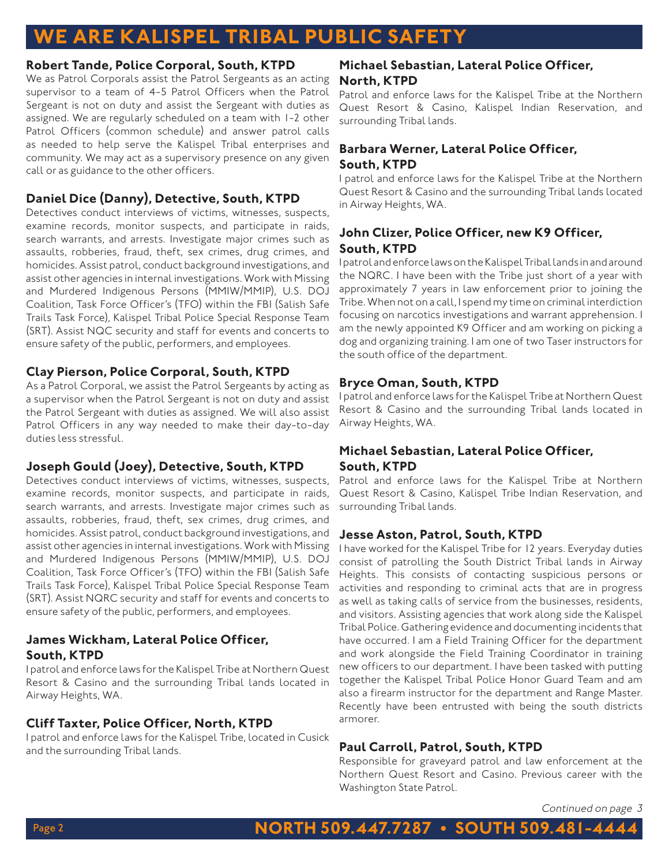# **ARE KALISPEL TRIBAL PUBLIC SA**

#### **Robert Tande, Police Corporal, South, KTPD**

We as Patrol Corporals assist the Patrol Sergeants as an acting supervisor to a team of 4-5 Patrol Officers when the Patrol Sergeant is not on duty and assist the Sergeant with duties as assigned. We are regularly scheduled on a team with 1-2 other Patrol Officers (common schedule) and answer patrol calls as needed to help serve the Kalispel Tribal enterprises and community. We may act as a supervisory presence on any given call or as guidance to the other officers.

# **Daniel Dice (Danny), Detective, South, KTPD**

Detectives conduct interviews of victims, witnesses, suspects, examine records, monitor suspects, and participate in raids, search warrants, and arrests. Investigate major crimes such as assaults, robberies, fraud, theft, sex crimes, drug crimes, and homicides. Assist patrol, conduct background investigations, and assist other agencies in internal investigations. Work with Missing and Murdered Indigenous Persons (MMIW/MMIP), U.S. DOJ Coalition, Task Force Officer's (TFO) within the FBI (Salish Safe Trails Task Force), Kalispel Tribal Police Special Response Team (SRT). Assist NQC security and staff for events and concerts to ensure safety of the public, performers, and employees.

## **Clay Pierson, Police Corporal, South, KTPD**

As a Patrol Corporal, we assist the Patrol Sergeants by acting as a supervisor when the Patrol Sergeant is not on duty and assist the Patrol Sergeant with duties as assigned. We will also assist Patrol Officers in any way needed to make their day-to-day duties less stressful.

## **Joseph Gould (Joey), Detective, South, KTPD**

Detectives conduct interviews of victims, witnesses, suspects, examine records, monitor suspects, and participate in raids, search warrants, and arrests. Investigate major crimes such as assaults, robberies, fraud, theft, sex crimes, drug crimes, and homicides. Assist patrol, conduct background investigations, and assist other agencies in internal investigations. Work with Missing and Murdered Indigenous Persons (MMIW/MMIP), U.S. DOJ Coalition, Task Force Officer's (TFO) within the FBI (Salish Safe Trails Task Force), Kalispel Tribal Police Special Response Team (SRT). Assist NQRC security and staff for events and concerts to ensure safety of the public, performers, and employees.

## **James Wickham, Lateral Police Officer, South, KTPD**

I patrol and enforce laws for the Kalispel Tribe at Northern Quest Resort & Casino and the surrounding Tribal lands located in Airway Heights, WA.

## **Cliff Taxter, Police Officer, North, KTPD**

I patrol and enforce laws for the Kalispel Tribe, located in Cusick and the surrounding Tribal lands.

## **Michael Sebastian, Lateral Police Officer, North, KTPD**

Patrol and enforce laws for the Kalispel Tribe at the Northern Quest Resort & Casino, Kalispel Indian Reservation, and surrounding Tribal lands.

## **Barbara Werner, Lateral Police Officer, South, KTPD**

I patrol and enforce laws for the Kalispel Tribe at the Northern Quest Resort & Casino and the surrounding Tribal lands located in Airway Heights, WA.

## **John Clizer, Police Officer, new K9 Officer, South, KTPD**

I patrol and enforce laws on the Kalispel Tribal lands in and around the NQRC. I have been with the Tribe just short of a year with approximately 7 years in law enforcement prior to joining the Tribe. When not on a call, I spend my time on criminal interdiction focusing on narcotics investigations and warrant apprehension. I am the newly appointed K9 Officer and am working on picking a dog and organizing training. I am one of two Taser instructors for the south office of the department.

## **Bryce Oman, South, KTPD**

I patrol and enforce laws for the Kalispel Tribe at Northern Quest Resort & Casino and the surrounding Tribal lands located in Airway Heights, WA.

## **Michael Sebastian, Lateral Police Officer, South, KTPD**

Patrol and enforce laws for the Kalispel Tribe at Northern Quest Resort & Casino, Kalispel Tribe Indian Reservation, and surrounding Tribal lands.

## **Jesse Aston, Patrol, South, KTPD**

I have worked for the Kalispel Tribe for 12 years. Everyday duties consist of patrolling the South District Tribal lands in Airway Heights. This consists of contacting suspicious persons or activities and responding to criminal acts that are in progress as well as taking calls of service from the businesses, residents, and visitors. Assisting agencies that work along side the Kalispel Tribal Police. Gathering evidence and documenting incidents that have occurred. I am a Field Training Officer for the department and work alongside the Field Training Coordinator in training new officers to our department. I have been tasked with putting together the Kalispel Tribal Police Honor Guard Team and am also a firearm instructor for the department and Range Master. Recently have been entrusted with being the south districts armorer.

## **Paul Carroll, Patrol, South, KTPD**

Responsible for graveyard patrol and law enforcement at the Northern Quest Resort and Casino. Previous career with the Washington State Patrol.